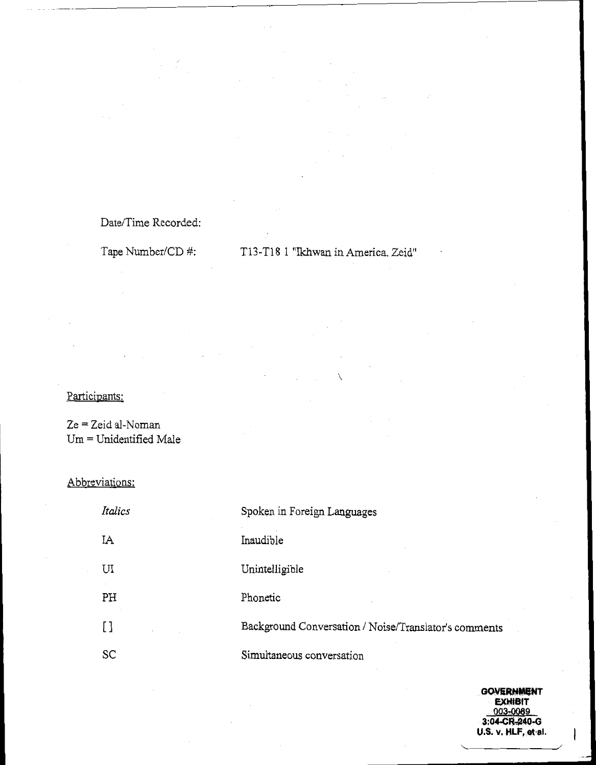### Date/Time Recorded:

# Tape Number/CD #: T13-T18 1 "Ikhwan in America. Zeid"

#### Participants:

Ze = Zeid al-Noman Um = Unidentified Male

#### Abbreviations:

| Italics        | Spoken in Foreign Languages                           |
|----------------|-------------------------------------------------------|
| ΙA             | Inaudible                                             |
| UI             | Unintelligible                                        |
| PH             | Phonetic                                              |
| $\mathfrak{g}$ | Background Conversation / Noise/Translator's comments |
| SC             | Simultaneous conversation                             |

**GOVERNMENT EXHIBIT** 003-0089 3:04-CR-240-G U.S. v. HLF, et al.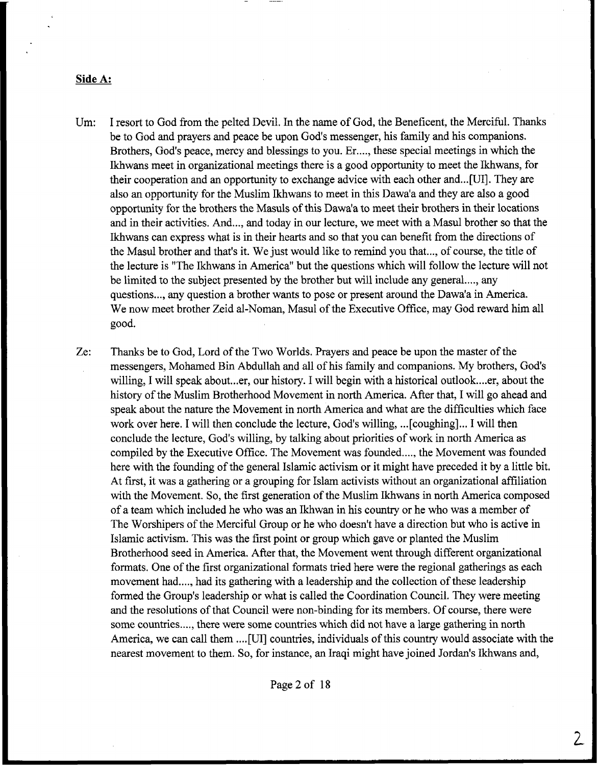#### **Side A:**

Um: I resort to God from the pelted Devil, In the name of God, the Beneficent, the Merciful. Thanks be to God and prayers and peace be upon God's messenger, his family and his companions. Brothers, God's peace, mercy and blessings to you. Er ..., these special meetings in which the Ikhwans meet in organizational meetings there is a good opportunity to meet the Ikhwans, for their cooperation and an opportunity to exchange advice with each other and...[UI]. They are also an opportunity for the Muslim Ikhwans to meet in this Dawa'a and they are also a good opportunity for the brothers the Mads of this Dawa'a to meet their brothers in their locations and in their activities. And..., and today in our lecture, we meet with a Masul brother so that the Ikhwans can express what is in their hearts and so that you can benefit from the directions of the Masul brother and that's it. We just would like to remind you that ..., of course, the title of the lecture is "The Ikhwans in America" but the questions which will follow the lecture will not be limited to the subject presented by the brother but will include any general...., any questions ..., any question a brother wants to pose or present around the Dawa'a in America. We now meet brother Zeid al-Noman, Masul of the Executive Office, may God reward him all good.

Ze: Thanks be to God, Lord of the Two Worlds, Prayers and peace be upon the master of the messengers, Moharned Bin Abdullah and all of his family and companions. My brothers, God's willing, I will speak about...er, our history. I will begin with a historical outlook....er, about the history of the Muslim Brotherhood Movement in north America. After that, I will go ahead and speak about the nature the Movement in north America and what are the difficulties which face work over here. I will then conclude the lecture, God's willing, ...[ coughing] ... I will then conclude the lecture, God's willing, by talking about priorities of work in north America as compiled by the Executive Office. The Movement was founded ...., the Movement was founded here with the founding of the general Islamic activism or it might have preceded it by a little bit. At first, it was a gathering or a grouping for Islam activists without an organizational filiation with the Movement. So, the first generation of the Muslim Ikhwans in north America composed of a team which included he who was an Ikhwan in his country or he who was a member of The Worshipers of the Merciful Group or he who doesn't have a direction but who is active in Islamic activism. This was the first point or group which gave or planted the Muslim Brotherhood seed in America. After that, the Movement went through different organizational formats. One of the first organizational formats tried here were the regional gatherings as each movement had ..., had its gathering with a leadership and the collection of these leadership formed the Group's leadership or what is called the Coordination Council. They were meeting and the resolutions of that Council were non-binding for its members. Of course, there were some countries...., there were some countries which did not have a large gathering in north America, we can call them ....[ UI] countries, individuals of this country would associate with the nearest movement to them. So, for instance, an Iraqi might have joined Jordan's Ikhwans and,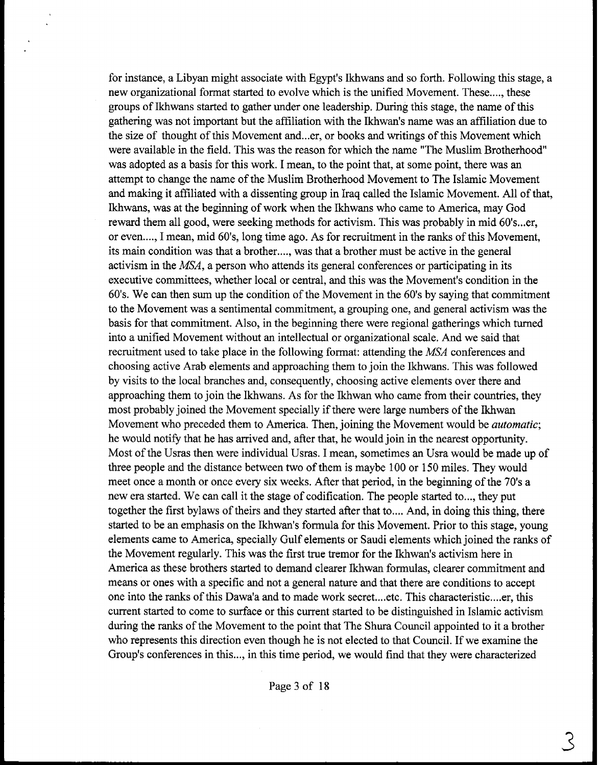for instance, a Libyan might associate with Egypt's Ikhwans and so forth. Following this stage, a new organizational format started to evolve which is the unified Movement. These ...., these groups of Ikhwans started to gather under one leadership. During this stage, the name of this gathering was not important but the affiliation with the Ikhwan's name was an affiliation due to the size of thought of this Movement and...er, or books and writings of this Movement which were available in the field. This was the reason for which the name "The Muslim Brotherhood" was adopted as a basis for this work. I mean, to the point that, at some point, there was an attempt to change the name of the Muslim Brotherhood Movement to The Islamic Movement and making it affiliated with a dissenting group in Iraq called the Islamic Movement. All of that, Ikhwans, was at the beginning of work when the Ikhwans who came to America, may God reward them all good, were seeking methods for activism. This was probably in mid 60's...er, or even...., I mean, mid 60's, long time ago. As for recruitment in the ranks of this Movement, its main condition was that a brother ...., was that **a** brother must be active in the general activism in the  $MSA$ , a person who attends its general conferences or participating in its executive committees, whether local or central, and this was the Movement's condition in the 60's. We can then sum up the condition of the Movement in the 60's by saying that commitment to the Movement was a sentimental commitment, a grouping one, and general activism was the basis for that commitment. Also, in the beginning there were regional gatherings which turned into a unified Movement without an intellectual or organizational scale. And we said that recruitment used to take place in the following format: attending the MSA conferences and choosing active Arab elements and approaching them to join the Ikhwans. This was followed by visits to the local branches and, consequently, choosing active elements over there and approaching them to join the Ikhwans. As for the Ikhwan who came from their countries, they most probably joined the Movement specially if there were large numbers of the Ikhwan Movement who preceded them to America. Then, joining the Movement would be *automatic;*  he would notify that he has arrived and, after that, he would join in the nearest opportunity. Most of the Usras then were individual Usras. I mean, sometimes an Usra would be made up of three people and the distance between two of them is maybe 100 or 150 miles. They would meet once a month or once every six weeks. After that period, in the beginning of the 70's a new era started. We can call it the stage of codification. The people started to..., they put together the first bylaws of theirs and they started after that to.... And, in doing this thing, there started to be an emphasis on the Ikhwan's formula for this Movement. Prior to this stage, young elements came to America, specially Gulf elements or Saudi elements which joined the ranks of the Movement regularly. This was the first true tremor for the Ikhwan's activism here in America as these brothers started to demand clearer Ikhwan formulas, clearer commitment and means or ones with a specific and not a general nature and that there are conditions to accept one into the ranks of this Dawa'a and to made work secret.,..etc. This characteristic .... er, this current started to come to surface or this current started to be distinguished in Islamic activism during the ranks of the Movement to the point that The Shura Council appointed to it a brother who represents this direction even though he is not elected to that Council. If we examine the Group's conferences in this ..., in this time period, we would find that they were characterized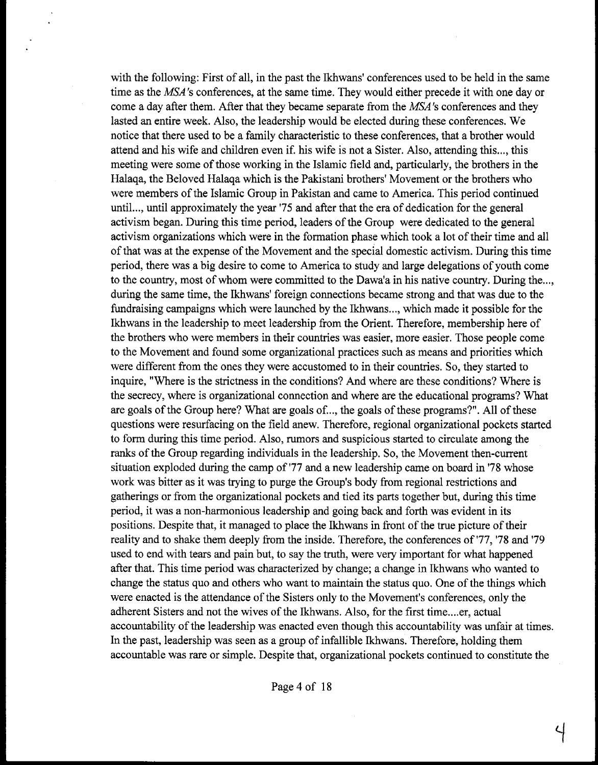with the following: First of all, in the past the Ikhwans' conferences used to be held in the same time as the MSA's conferences, at the same time. They would either precede it with one day or come a day after them. After that they became separate from the MSA's conferences and they lasted an entire week. Also, the leadership would be elected during these conferences. We notice that there used to be a family characteristic to these conferences, that a brother would attend and his wife and children even if. his wife is not a Sister. Also, attending this ..., this meeting were some of those working in the Islamic field and, particularly, the brothers in the Halaqa, the Beloved Halaqa which is the Pakistani brothers' Movement or the brothers who were members of the Islamic Group in Pakistan and came to America. This period continued until ..., until approximately the year '75 and after that the era of dedication for the general activism began. During this time period, leaders of the Group were dedicated to the general activism organizations which were in the formation phase which took a lot of their time and all of that was at the expense of the Movement and the special domestic activism. During this time period, there was a big desire to come to America to study and large delegations of youth come to the country, most of whom were committed to the Dawa'a in his native country. During the..., during the same time, the Ikhwans' foreign connections became strong and that was due to the fundraising campaigns which were launched by the Ikhwans..., which made it possible for the Ikhwans in the leadership to meet leadership from the Orient. Therefore, membership here of the brothers who were members in their countries was easier, more easier. Those people come to the Movement and found some organizational practices such as means and priorities which were different from the ones they were accustomed to in their countries. So, they started to inquire, "Where is the strictness in the conditions? And where are these conditions? Where is the secrecy, where is organizational connection and where are the educational programs? What are goals of the Group here? What are goals of. .., the goals of these programs?". All of these questions were resurfacing on the field anew. Therefore, regional organizational pockets started to form during this time period. Also, rumors and suspicious started to circulate among the ranks of the Group regarding individuals in the leadership, So, the Movement then-current situation exploded during the camp of '77 and a new leadership came on board in '78 whose work was bitter as it was trying to purge the Group's body from regional restrictions and gatherings or from the organizational pockets and tied its parts together but, during this time period, it was a non-harmonious leadership and going back and forth was evident in its positions. Despite that, it managed to place the Ikhwans in front of the true picture of their reality and to shake them deeply from the inside. Therefore, the conferences of '77, **'78** and '79 used to end with tears and pain but, to say the truth, were very important for what happened after that. This time period was characterized by change; a change in Ikhwans who wanted to change the status quo and others who want to maintain the status quo. One of the things which were enacted is the attendance of the Sisters only to the Movement's conferences, only the adherent Sisters and not the wives of the Ikhwans. Also, for the first time,..,er, actual accountability of the leadership was enacted even though this accountability was unfair at times. In the past, leadership was seen as a group of infallible Ikhwans. Therefore, holding them accountable was rare or simple. Despite that, organizational pockets continued to constitute the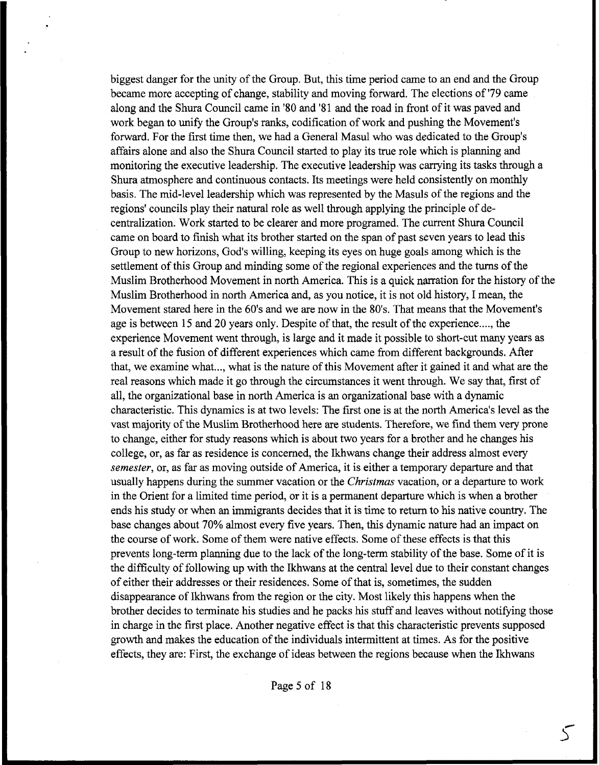biggest danger for the unity of the Group. But, this time period came to an end and the Group became more accepting of change, stability and moving forward. The elections of '79 came along and the Shura Council came in '80 and '81 and the road in front of it was paved and work began to unify the Group's ranks, codification of work and pushing the Movement's forward. For the first time then, we had a General Masul who was dedicated to the Group's affairs alone and also the Shura Council started to play its true role which is planning and monitoring the executive leadership. The executive leadership was carrying its tasks through a Shura atmosphere and continuous contacts. Its meetings were held consistently on monthly basis. The mid-level leadership which was represented by the Masuls of the regions and the regions' councils play their natural role as well through applying the principle of decentralization. Work started to be clearer and more programed. The current Shura Council came on board to finish what its brother started on the span of past seven years to lead this Group to new horizons, God's willing, keeping its eyes on huge goals among which is the settlement of this Group and minding some of the regional experiences and the turns of the Muslim Brotherhood Movement in north America. This is a quick narration for the history of the Muslim Brotherhood in north America and, as you notice, it is not old history, I mean, the Movement stared here in the 60's and we are now in the 80's. That means that the Movement's age is between 15 and 20 years only. Despite of that, the result of the experience...., the experience Movement went through, is large and it made it possible to short-cut many years as a result of the fusion of different experiences which came from different backgrounds. After that, we examine what ..., what is the nature of this Movement after it gained it and what are the real reasons which made it go through the circumstances it went through. We say that, first of all, the organizational base in north America is an organizational base with a dynamic characteristic. This dynamics is at two levels: The first one is at the north America's level as the vast majority of the Muslim Brotherhood here are students. Therefore, we find them very prone to change, either for study reasons which is about two years for a brother and he changes his college, or, as far as residence is concerned, the Ikhwans change their address almost every *semester,* or, as far as moving outside of America, it is either a temporary departure and that usually happens during the summer vacation or the **Christmas** vacation, or a departure to work in the Orient for a limited time period, or it is a permanent departure which is when a brother ends his study or when an immigrants decides that it is time to return to his native country. The base changes about 70% almost every five years. Then, this dynamic nature had an impact on the course of work. Some of them were native effects. Some of these effects is that this prevents long-term planning due to the lack of the long-term stability of the base. Some of it is the difficulty of following up with the Ikhwans at the central level due to their constant changes of either their addresses or their residences. Some of that is, sometimes, the sudden disappearance of Ikhwans from the region or the city. Most likely this happens when the brother decides to terminate his studies and he packs his stuff and leaves without notifying those in charge in the first place. Another negative effect is that this characteristic prevents supposed growth and makes the education of the individuals intermittent at times. As for the positive effects, they are: First, the exchange of ideas between the regions because when the Ikhwans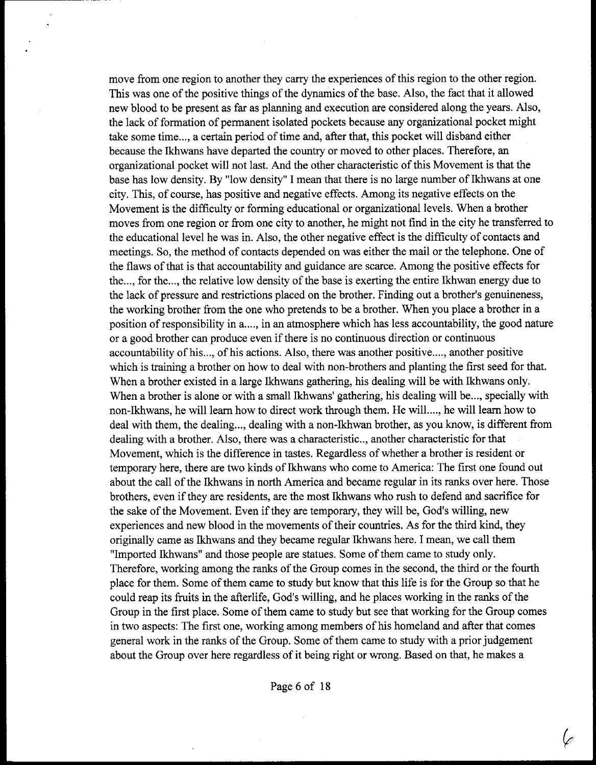move from one region to another they carry the experiences of this region to the other region. This was one of the positive things of the dynamics of the base, Also, the fact that it allowed new blood to be present as far as planning and execution are considered along the years. Also, the lack of formation of permanent isolated pockets because any organizational pocket might take some time..., a certain period of time and, after that, this pocket will disband either because the Ikhwans have departed the country or moved to other places. Therefore, an organizational pocket will not last. And the other characteristic of this Movement is that the base has low density. By "low density" I mean that there is no large number of Ikhwans at one city. This, of course, has positive and negative effects. Among its negative effects on the Movement is the difficulty or forming educational or organizational levels. When a brother moves from one region or from one city to another, he might not find in the city he transferred to the educational level he was in. Also, the other negative effect is the difficulty of contacts and meetings. So, the method of contacts depended on was either the mail or the telephone. One of the flaws of that is that accountability and guidance are scarce. Among the positive effects for the..., for the..., the relative low density of the base is exerting the entire Ikhwan energy due to the lack of pressure and restrictions placed on the brother. Finding out a brother's genuineness, the working brother from the one who pretends to be a brother. When you place a brother in a position of responsibility in a...., in an atmosphere which has less accountability, the good nature or a good brother can produce even if there is no continuous direction or continuous accountability of his,.., of his actions. Also, there was another positive ...., another positive which is training a brother on how to deal with non-brothers and planting the first seed for that. When a brother existed in a large Ikhwans gathering, his dealing will be with Ikhwans only. When a brother is alone or with a small Ikhwans' gathering, his dealing will be..., specially with non-Ikhwans, he will learn how to direct work through them, He will ...., he will learn how to deal with them, the dealing.,., dealing with a non-Ikhwan brother, as you know, is different from dealing with a brother, Also, there was a characteristic.., another characteristic for that Movement, which is the difference in tastes. Regardless of whether a brother is resident or temporary here, there are two kinds of Ikhwans who come to America: The first one found out about the call of the Ikhwans in north America and became regular in its ranks over here. Those brothers, even if they are residents, are the most Ikhwans who rush to defend **and** sacrifice for the sake of the Movement. Even if they are temporary, they will be, God's willing, new experiences and new blood in the movements of their countries. As for the third kind, they originally came as Ikhwans and they became regular Ikhwans here. I mean, we call them "Imported Ikhwans" and those people are statues. Some of them came to study only. Therefore, working among the ranks of the Group comes in the second, the third or the fourth place for them. Some of them came to study but know that this life is for the Group so that he could reap its fruits in the afterlife, God's willing, and he places working in the ranks of the Group in the first place. Some of them came to study but see that working for the Group comes in two aspects: The first one, working among members of his homeland and after that comes general work in the ranks of the Group. Some of them came to study with a prior judgement about the Group over here regardless of it being right or wrong. Based on that, he makes a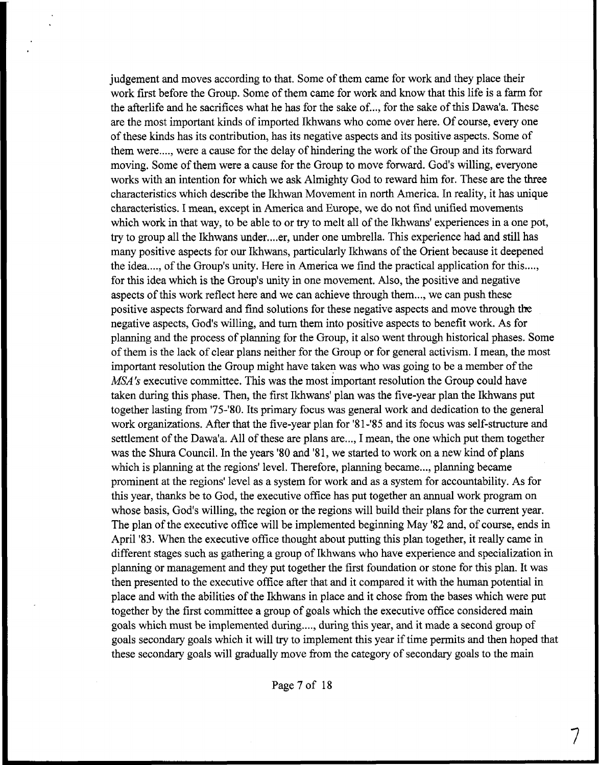judgement and moves according to that. Some of them came for work and they place their work first before the Group. Some of them came for work and know that this life is a farm for the afterlife and he sacrifices what he has for the sake of. .., for the sake of this Dawa'a. These are the most important kinds of imported Ikhwans who come over here. Of course, every one of these kinds has its contribution, has its negative aspects and its positive aspects. Some of them were ...., were a cause for the delay of hindering the work of the Group and its forward moving. Some of them were a cause for the Group to move forward. God's willing, everyone works with an intention for which we ask Almighty God to reward him for. These are the three characteristics which describe the Ikhwan Movement in north America. In reality, it has unique characteristics. I mean, except in America and Europe, we do not find unified movements which work in that way, to be able to or try to melt all of the Ikhwans' experiences in a one pot, try to group all the Ikhwans under .... er, under one umbrella. This experience had and still has many positive aspects for our Ikhwans, particularly Ikhwans of the Orient because it deepened the idea...., of the Group's unity. Here in America we find the practical application for this...., for this idea which is the Group's unity in one movement. Also, the positive and negative aspects of this work reflect here and we can achieve through them ..., we can push these positive aspects forward and find solutions for these negative aspects and move through the negative aspects, God's willing, and turn them into positive aspects to benefit work. As for planning and the process of planning for the Group, it also went through historical phases. Some of them is the lack of clear plans neither for the Group or for general activism. I mean, the most important resolution the Group might have taken was who was going to be a member of the MSA's executive committee. This was the most important resolution the Group could have taken during this phase. Then, the first Ikhwans' plan was the five-year plan the Ikhwans put together lasting from '75-'80. Its primary focus was general work and dedication to the general work organizations. **After** that the five-year plan for '8 1 **-'a5** and its focus was self-structure and settlement of the Dawa'a. All of these are plans are..., I mean, the one which put them together was the Shura Council. In the years '80 and '81, we started to work on a new kind of plans which is planning at the regions' level. Therefore, planning became..., planning became prominent at the regions' level as a system for work and as a system for accountability. **As** for this year, thanks be to God, the executive office has put together an annual work program on whose basis, God's willing, the region or the regions will build their plans for the current year. The plan of the executive office will be implemented beginning May '82 and, of course, ends in April **'83.** When the executive office thought about putting this plan together, it really came in different stages such as gathering **a** group of Ikhwans who have experience and specialization in planning or management and they put together the first foundation or stone for this plan. It was then presented to the executive office after that and it compared it with the human potential in place and with the abilities of the Ikhwans in place and it chose from the bases which were put together by the first committee a group of goals which the executive office considered main goals which must be implemented during ...., during this year, and it made a second group of goals secondary goals which it will try to implement this year if time permits and then hoped that these secondary goals will gradually move from the category of secondary goals to the main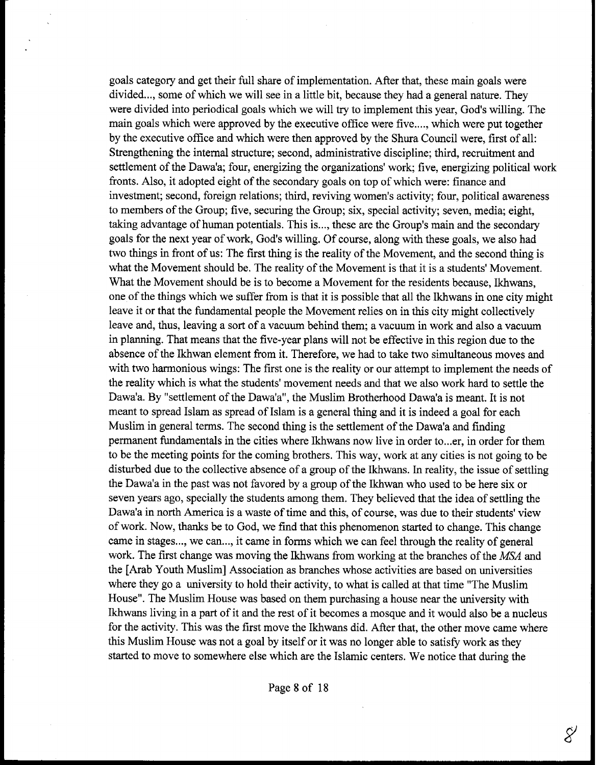goals category and get their full share of implementation. After that, these main goals were divided..., some of which we will see in a little bit, because they had a general nature. They were divided into periodical goals which we will try to implement this year, God's willing. The main goals which were approved by the executive office were five...., which were put together by the executive office and which were then approved by the Shura Council were, first of all: Strengthening the internal structure; second, administrative discipline; third, recruitment and settlement of the Dawa'a; four, energizing the organizations' work; five, energizing political work fronts. Also, it adopted eight of the secondary goals on top of which were: finance and investment; second, foreign relations; third, reviving women's activity; four, political awareness to members of the Group; five, securing the Group; six, special activity; seven, media; eight, taking advantage of human potentials. This is ..., these are the Group's main and the secondary goals for the next year of work, God's willing. Of course, along with these goals, we also had two things in front of us: The first thing is the reality of the Movement, and the second thing is what the Movement should be. The reality of the Movement is that it is a students' Movement. What the Movement should be is to become a Movement for the residents because, Ikhwans, one of the things which we suffer fiom is that it is possible that all the Ikhwans in one city might leave it or that the fundamental people the Movement relies on in this city might collectively leave and, thus, leaving a sort of a vacuum behind them; a vacuum in work and also a vacuum in planning. That means that the five-year plans will not be effective in this region due to the absence of the Ikhwan element **from** it. Therefore, we had to take two simultaneous moves and with two harmonious wings: The first one is the reality or our attempt to implement the needs of the reality which is what the students' movement needs and that we also work hard to settle the Dawa'a. By "settlement of the Dawa'a", the Muslim Brotherhood Dawa'a is meant. It is not meant to spread Islam as spread of Islam is a general thing and it is indeed a goal for each Muslim in general terms. The second thing is the settlement of the Dawa'a and finding permanent fundamentals in the cities where Ikhwans now live in order to ... er, in order for them to be the meeting points for the coming brothers. This way, work at any cities is not going to be disturbed due to the collective absence of a group of the Ikhwans. **Ln** reality, the issue of settling the Dawa'a in the past was not favored by a group of the Ikhwan who used to be here six or seven years ago, specially the students among them. They believed that the idea of settling the Dawa'a in north America is a waste of time and this, of course, was due to their students' view of work. Now, thanks be to God, we find **that** this phenomenon started to change. This change came in stages..., we can..., it came in forms which we can feel through the reality of general work. The first change was moving the Ikhwans fiom working at the branches of the MSA and the [Arab Youth Muslim] Association as branches whose activities are based on universities where they go a university to hold their activity, to what is called at that time "The Muslim House". The Muslim House was based on them purchasing a house near the university with Ikhwans living in a part of it and the rest of it becomes a mosque and it would also be a nucleus for the activity. This was the first move the Ikhwans did. After that, the other move came where this Muslim House was not a goal by itself or it was no longer able to satisfy work as they started to move to somewhere else which are the Islamic centers. We notice that during the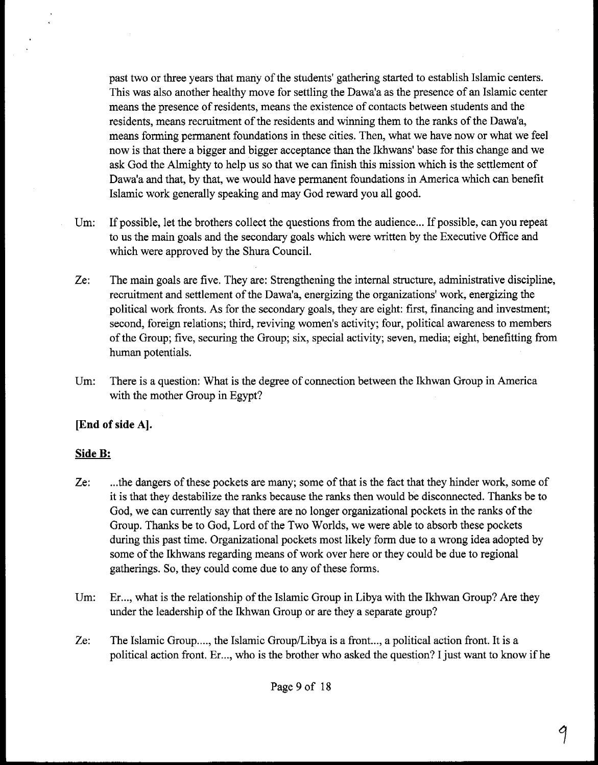past two or three years that many of the students' gathering started to establish Islamic centers. This was also another healthy move for settling the Dawa'a as the presence of an Islamic center means the presence of residents, means the existence of contacts between students and the residents, means recruitment of the residents and winning them to the ranks of the Dawa'a, means forming permanent foundations in these cities. Then, what we have now or what we feel now is that there a bigger and bigger acceptance than the Ikhwans' base for this change and we ask God the Almighty to help us so that we can finish this mission which is the settlement of Dawa'a and that, by that, we would have permanent foundations in America which can benefit Islamic work generally speaking and may God reward you all good.

- Um: If possible, let the brothers collect the questions from the audience... If possible, can you repeat to us the main goals and the secondary goals which were written by the Executive Office and which were approved by the Shura Council.
- Ze: The main goals are five, They are: Strengthening the internal structure, administrative discipline, recruitment and settlement of the Dawa'a, energizing the organizations' work, energizing the political work fronts. As for the secondary goals, they are eight: first, financing and investment; second, foreign relations; third, reviving women's activity; four, political awareness to members of the Group; five, securing the Group; six, special activity; seven, media; eight, benefitting from human potentials.
- Um: There is a question: What is the degree of connection between the Ikhwan Group in America with the mother Group in Egypt?

# **[End of side A].**

# **Side B:**

- Ze: .,.the dangers of these pockets are many; some of that is the fact that they hinder work, some of it is that they destabilize the ranks because the ranks then would be disconnected. Thanks be to God, we can currently say that there are no longer organizational pockets in the ranks of the Group. Thanks be to God, Lord of the Two Worlds, we were able to absorb these pockets during this past time. Organizational pockets most likely form due to a wrong idea adopted by some of the Ikhwans regarding means of work over here or they could be due to regional gatherings. So, they could come due to any of these forms.
- Um: Er..., what is the relationship of the Islamic Group in Libya with the Ikhwan Group? Are they under the leadership of the Ikhwan Group or are they a separate group?
- Ze: The Islamic Group...., the Islamic Group/Libya is a front..., a political action front. It is a political action front. Er..., who is the brother who asked the question? I just want to know if he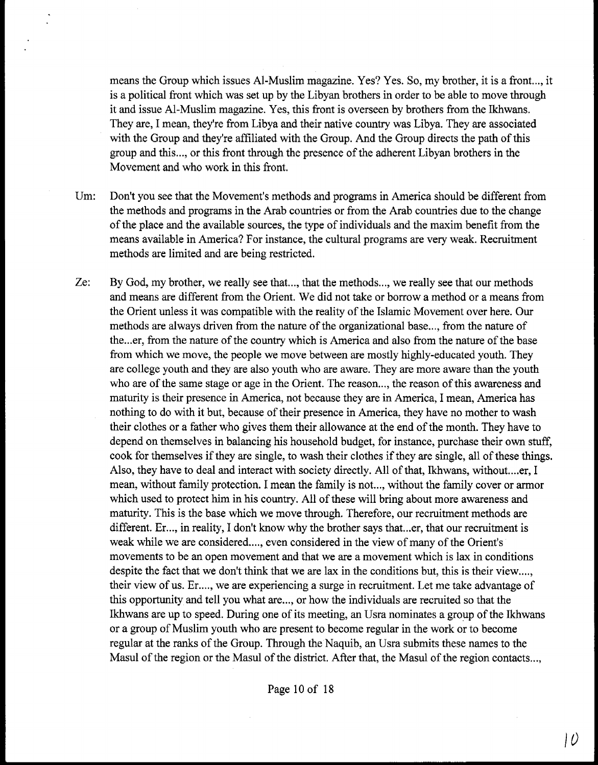means the Group which issues Al-Muslim magazine. Yes? Yes. So, my brother, it is a front..., it is a political front which was set up by the Libyan brothers in order to be able to move through it and issue Al-Muslim magazine. Yes, this front is overseen by brothers from the Ikhwans, They are, I mean, they're from Libya and their native country was Libya. They are associated with the Group and they're affiliated with the Group. And the Group directs the path of this group and this ..., or this front through the presence of the adherent Libyan brothers in the Movement and who work in this front.

- Um: Don't you see that the Movement's methods and programs in America should be different from the methods and programs in the Arab countries or from the Arab countries due to the change of the place and the available sources, the type of individuals and the maxim benefit from the means available in America? For instance, the cultural programs are very weak. Recruitment methods are limited and are being restricted.
- Ze: By God, my brother, we really see that ..., that the methods ..., we really see that our methods and means are different from the Orient. We did not take or borrow a method or a means from the Orient unless it was compatible with the reality of the Islamic Movement over here. Our methods are always driven from the nature of the organizational base..., from the nature of the ... er, from the nature of the country which is America and also from the nature of the base from which we move, the people we move between are mostly highly-educated youth. They are college youth and they are also youth who are aware. They are more aware than the youth who are of the same stage or age in the Orient. The reason. .., the reason of this awareness and maturity is their presence in America, not because they are in America, I mean, America has nothing to do with it but, because of their presence in America, they have no mother to wash their clothes or a father who gives them their allowance at the end of the month. They have to depend on themselves in balancing his household budget, for instance, purchase their own stuff, cook for themselves if they are single, to wash their clothes if they are single, all of these things. Also, they have to deal and interact with society directly. All of that, Ikhwans, without....er, I mean, without family protection. I mean the family is not..., without the family cover or armor which used to protect him in his country. All of these will bring about more awareness and maturity. This is the base which we move through. Therefore, our recruitment methods are different. Er..., in reality, I don't know why the brother says that ... er, that our recruitment is weak while we are considered..., even considered in the view of many of the Orient's movements to be an open movement and that we are a movement which is lax in conditions despite the fact that we don't think that we are lax in the conditions but, this is their view...., their view of us. Er...., we are experiencing a surge in recruitment. Let me take advantage of this opportunity and tell you what are..., or how the individuals are recruited so that the Ikhwans are up to speed. During one of its meeting, an Usra nominates a group of the Ikhwans or a group of Muslim youth who are present to become regular in the work or to become regular at the ranks of the Group. Through the Naquib, an Usra submits these names to the Masul of the region or the Masul of the district. After that, the Masul of the region contacts ...,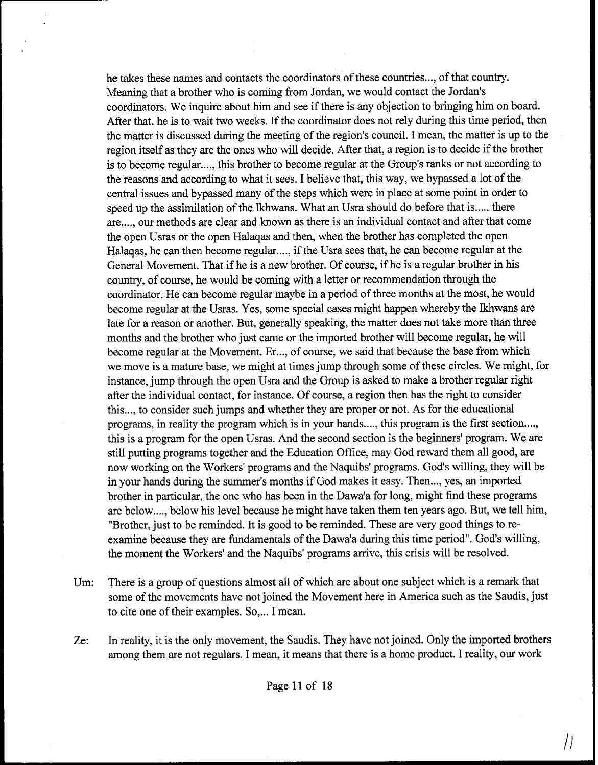he takes these names and contacts the coordinators of these countries ..., of that country. Meaning that a brother who is coming from Jordan, we would contact the Jordan's coordinators. We inquire about him and see if there is any objection to bringing him on board. After that, he is to wait two weeks. If the coordinator does not rely during this time period, then the matter is discussed during the meeting of the region's council. I mean, the matter is up to the region itself as they are the ones who will decide. After that, a region is to decide if the brother is to become regular...., this brother to become regular at the Group's ranks or not according to the reasons and according to what it sees. I believe that, this way, we bypassed a lot of the central issues and bypassed many of the steps which were in place at some point in order to speed up the assimilation of the Ikhwans. What an Usra should do before that is ...., there are...., our methods are clear and known as there is an individual contact and after that come the open Usras or the open Halaqas and then, when the brother has completed the open Halaqas, he can then become regular...., if the Usra sees that, he can become regular at the General Movement. That if he is a new brother. Of course, if he is a regular brother in his country, of course, he would be coming with a letter or recommendation through the coordinator. He can become regular maybe in a period of three months at the most, he would become regular at the Usras. Yes, some special cases might happen whereby the Ikhwans are late for a reason or another. But, generally speaking, the matter does not take more than three months and the brother who just came or the imported brother will become regular, he will become regular at the Movement. Er..., of course, we said that because the base from which we move is a mature base, we might at times jump through some of these circles. We might, for instance, jump through the open Usra and the Group is asked to make a brother regular right after the individual contact, for instance. Of course, a region then has the right to consider this ..., to consider such jumps and whether they are proper or not. As for the educational programs, in reality the program which is in your hands...., this program is the first section...., this is a program for the open Usras. And the second section is the beginners' program. We are still putting programs together and the Education Office, may God reward them all good, are now working on the Workers' programs and the Naquibs' programs. God's willing, they will be in your hands during the summer's months if God makes it easy. Then ..., yes, an imported brother in particular, the one who has been in the Dawa'a for long, might find these programs are below ...., below his level because he might have taken them ten years ago. But, we tell him, "Brother, just to be reminded. It is good to be reminded. These are very good things to reexamine because they are fundamentals of the Dawa'a during this time period". God's willing, the moment the Workers' and the Naquibs' programs arrive, this crisis will be resolved.

Um: There is a group of questions almost all of which are about one subject which is a remark that some of the movements have not joined the Movement here in America such as the Saudis, just to cite one of their examples. So,... I mean.

Ze: In reality, it is the only movement, the Saudis. They have not joined. Only the imported brothers among them are not regulars. I mean, it means that there is a home product. I reality, our work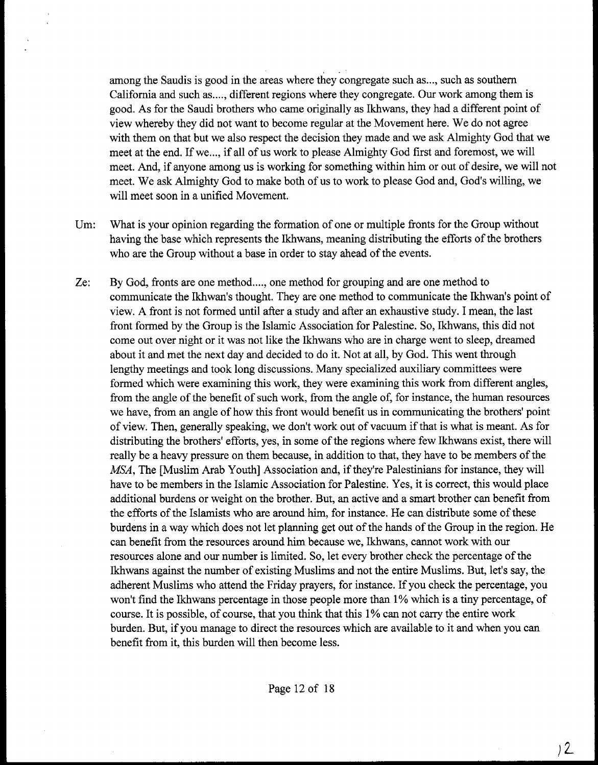among the Saudis is good in the areas where key congregate such as ..., such as southern California and such as ...., different regions where they congregate. Our work among them is good. As for the Saudi brothers who came originally as Ikhwans, they had a different point of view whereby they did not want to become regular at the Movement here. We do not agree with them on that but we also respect the decision they made and we ask Almighty God that we meet at the end. If we..., if all of us work to please Almighty God first and foremost, we will meet. And, if anyone among us is working for something within him or out of desire, we will not meet. We ask Almighty God to make both of us to work to please God and, God's willing, we will meet soon in a unified Movement.

- Um: What is your opinion regarding the formation of one or multiple fronts for the Group without having the base which represents the Ikhwans, meaning distributing the efforts of the brothers who are the Group without a base in order to stay ahead of the events.
- Ze: By God, fronts are one method ...., one method for grouping and are one method to communicate the Ikhwan's thought. They are one method to communicate the Ikhwan's point of view. **A** front is not formed until after a study and after an exhaustive study. I mean, the last front formed by the Group is the Islamic Association for Palestine. So, Ikhwans, this did not come out over night or it was not like the Ikhwans who are in charge went to sleep, dreamed about it and met the next day and decided to do it. Not at all, by God. This went through lengthy meetings and took long discussions. Many specialized auxiliary committees were formed which were examining this work, they were examining this work from different angles, from the angle of the benefit of such work, from the angle of, for instance, the human resources we have, from an angle of how this front would benefit us in communicating the brothers' point of view. Then, generally speaking, we don't work out of vacuum if that is what is meant. As for distributing the brothers' efforts, yes, in some of the regions where few Ikhwans exist, there will really be a heavy pressure on them because, in addition to that, they have to be members of the MSA, The [Muslim Arab Youth] Association and, if they're Palestinians for instance, they will have to be members in the Islamic Association for Palestine. Yes, it is correct, this would place additional burdens or weight on the brother. But, an active and a smart brother can benefit from the efforts of the Islamists who are around him, for instance. He can distribute some of these burdens in a way which does not let planning get out of the hands of the Group in the region. He can benefit from the resources around him because we, Ikhwans, cannot work with our resources alone and our number is limited, So, let every brother check the percentage of the Ikhwans against the number of existing Muslims and not the entire Muslims. But, let's say, the adherent Muslims who attend the Friday prayers, for instance. If you check the percentage, you won't find the Ikhwans percentage in those people more than 1% which is a tiny percentage, of course. It is possible, of course, that you think that this 1% can not carry the entire work burden. But, if you manage to direct the resources which are available to it and when you can benefit from it, this burden will then become less.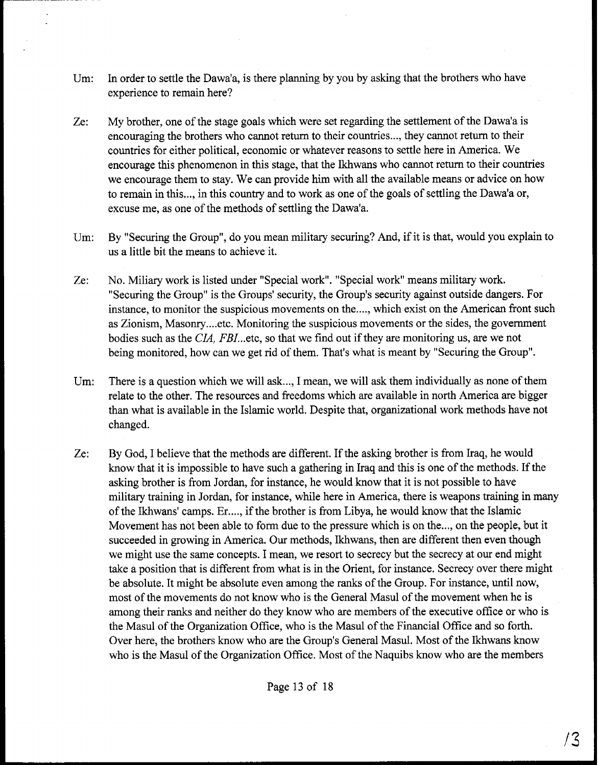- Um: In order to settle the Dawa'a, is there planning by you by asking that the brothers who have experience to remain here?
- Ze: My brother, one of the stage goals which were set regarding the settlement of the Dawa'a is encouraging the brothers who cannot return to their countries ..., they cannot return to their countries for either political, economic or whatever reasons to settle here in America. We encourage this phenomenon in this stage, that the Ikhwans who cannot return to their countries we encourage them to stay. We can provide him with all the available means or advice on how to remain in this ..., in this country and to work as one of the goals of settling the Dawa'a or, excuse me, as one of the methods of settling the Dawa'a.
- Um: By "Securing the Group", do you mean military securing? And, if it is that, would you explain to us a little bit the means to achieve it.
- **Ze:** No. Miliary work is listed under "Special work". "Special work" means military work. "Securing the Group" is the Groups' security, the Group's security against outside dangers. For instance, to monitor the suspicious movements on the...., which exist on the American front such as Zionism, Masonry.... etc. Monitoring the suspicious movements or the sides, the government bodies such as the CIA, FBI...etc, so that we find out if they are monitoring us, are we not being monitored, how can we get rid of them. That's what is meant by "Securing the Group".
- Um: There is a question which we will ask..., I mean, we will ask them individually as none of them relate to the other. The resources and freedoms which are available in north America are bigger than what is available in the Islamic world. Despite that, organizational work methods have not changed.
- Ze: By God, I believe that the methods are different. If the asking brother is from Iraq, he would know that it is impossible to have such a gathering in Iraq and this is one of the methods. If the asking brother is from Jordan, for instance, he would know that it is not possible to have military training in Jordan, for instance, while here in America, there is weapons training in many of the Ikhwans' camps. Er...., if the brother is from Libya, he would know that the Islamic Movement has not been able to form due to the pressure which is on the ..., on the people, but it succeeded in growing in America. Our methods, Ikhwans, then are different then even though we might use the same concepts. I mean, we resort to secrecy but the secrecy at our end might take a position that is different from what is in the Orient, for instance. Secrecy over there might be absolute. It might be absolute even among the ranks of the Group. For instance, until now, most of the movements do not know who is the General Masul of the movement when he is among their ranks and neither do they know who are members of the executive office or who is the Masul of the Organization Office, who is the Masul of the Financial Office and so forth. Over here, the brothers know who are the Group's General Masul. Most of the Ikhwans know who is the Masul of the Organization Office. Most of the Naquibs know who are the members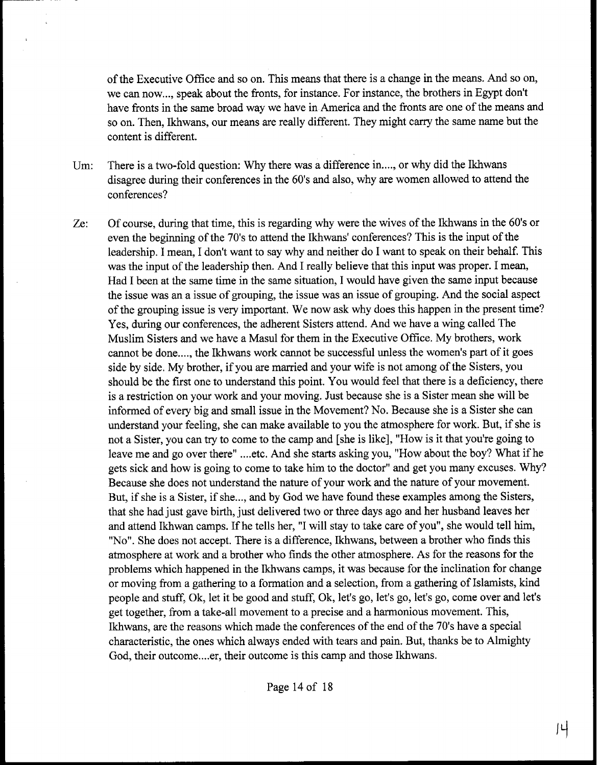of the Executive Office and so on. This means that there is a change in the means. And so on, we can now..., speak about the fronts, for instance. For instance, the brothers in Egypt don't have fronts in the same broad way we have in America and the fronts are one of the means and so on. Then, Ikhwans, our means are really different. They might carry the same name but the content is different.

- Um: There is a two-fold question: Why there was a difference in ..., or why did the Ikhwans disagree during their conferences in the 60's and also, why are women allowed to attend the conferences?
- Ze: Of course, during that time, this is regarding why were the wives of the Ikhwms in the 60's or even the beginning of the 70's to attend the Ikhwans' conferences? This is the input of the leadership. I mean, I don't want to say why and neither do I want to speak on their behalf. This was the input of the leadership then. And I really believe that this input was proper. I mean, Had I been at the same time in the same situation, I would have given the same input because the issue was an a issue of grouping, the issue was an issue of grouping. And the social aspect of the grouping issue is very important. We now ask why does this happen in the present time? Yes, during our conferences, the adherent Sisters attend. And we have a wing called The Muslim Sisters and we have a Masul for them in the Executive Office. My brothers, work cannot be done...., the Ikhwans work cannot be successful unless the women's part of it goes side by side. My brother, if you are married and your wife is not among of the Sisters, you should be the first one to understand this point. You would feel that there is a deficiency, there is a restriction on your work and your moving. Just because she is a Sister mean she will be informed of every big and small issue in the Movement? No. Because she is a Sister she can understand your feeling, she can make available to you the atmosphere for work. But, if she is not a Sister, you can try to come to the camp and [she is like], "How is it that you're going to leave me and go over there" .... etc. And she starts asking you, "How about the boy? What if he gets sick and how is going to come to take him to the doctor" and get you many excuses. Why? Because she does not understand the nature of your work and the nature of your movement. But, if she is a Sister, if she..., and by God we have found these examples among the Sisters, that she had just gave birth, just delivered two or three days ago and her husband leaves her and attend Ikhwan camps. If he tells her, "I will stay to take care of you", she would tell him, "No". She does not accept. There is a difference, Ikhwans, between a brother who finds this atmosphere at work and a brother who finds the other atmosphere. As for the reasons for the problems which happened in the Ikhwans camps, it was because for the inclination for change or moving from a gathering to a formation and a selection, from a gathering of Islamists, kind people and stuff, Ok, let it be good and stuff, Ok, let's go, let's go, let's go, come over and let's get together, fiom a take-all movement to a precise and a harmonious movement. This, Ikhwans, are the reasons which made the conferences of the end of the 70's have a special characteristic, the ones which always ended with tears and pain. But, thanks be to Almighty God, their outcome.... er, their outcome is this camp and those Ikhwans.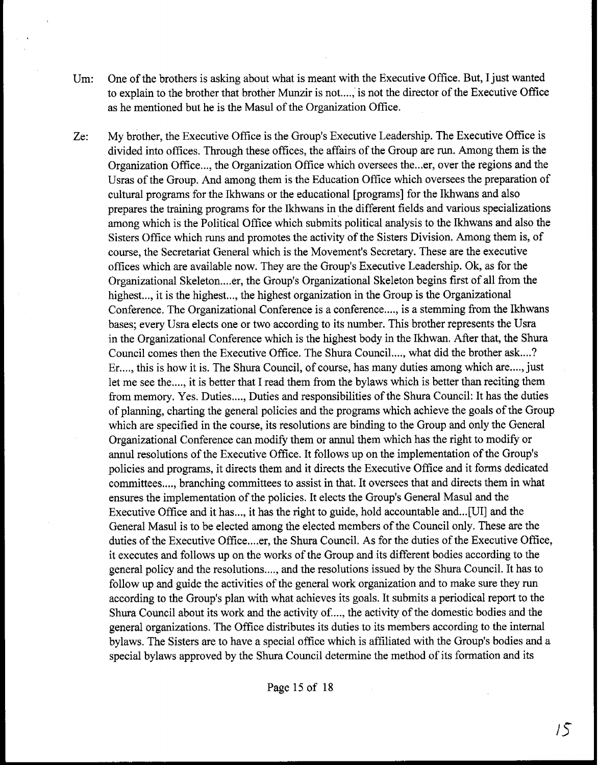- Um: One of the brothers is asking about what is meant with the Executive Office. But, I just wanted to explain to the brother that brother Munzir is not ...., is not the director of the Executive Office as he mentioned but he is the Masul of the Organization Office.
- Ze: My brother, the Executive Office is the Group's Executive Leadership. The Executive Office is divided into offices. Through these offices, the affairs of the Group are run. Among them is the Organization Office,.,, the Organization Office which oversees the ... er, over the regions and the Usras of the Group. And among them is the Education Office which oversees the preparation of cultural programs for the Ikhwans or the educational [programs] for the Ikhwans and also prepares the training programs for the Ikhwans in the different fields and various specializations among which is the Political Office which submits political analysis to the Ikhwans and also the Sisters Office which runs and promotes the activity of the Sisters Division. Among them is, of course, the Secretariat General which is the Movement's Secretary. These are the executive offices which are available now. They are the Group's Executive Leadership. Ok, as for the Organizational Skeleton.,.,er, the Group's Organizational Skeleton begins first of all from the highest..., it is the highest..., the highest organization in the Group is the Organizational Conference. The Organizational Conference is a conference ...., is a stemming from the Ikhwans bases; every Usra elects one or two according to its number. This brother represents the Usra in the Organizational Conference which is the highest body in the Ikhwan. After that, the Shura Council comes then the Executive Office. The Shura Council  $\dots$ , what did the brother ask ....? Er...., this is how it is. The Shura Council, of course, has many duties among which are...., just let me see the...., it is better that I read them from the bylaws which is better than reciting them from memory. Yes. Duties ...., Duties and responsibilities of the Shura Council: It has the duties of planning, charting the general policies and the programs which achieve the goals of the Group which are specified in the course, its resolutions are binding to the Group and only the General Organizational Conference can modify them or annul them which has the right to modify or annul resolutions of the Executive Office. It follows up on the implementation of the Group's policies and programs, it directs them and it directs the Executive Office and it forms dedicated committees ...., branching committees to assist in that. It oversees that and directs them in what ensures the implementation of the policies. It elects the Group's General Masul and the Executive Office and it has ..., it has the right to guide, hold accountable and ...[ UI] and the General Masul is to be elected among the elected members of the Council only. These are the duties of the Executive Office....er, the Shura Council. As for the duties of the Executive Office, it executes and follows up on the works of the Group and its different bodies according to the general policy and the resolutions ...., and the resolutions issued by the Shura Council. It has to follow up and guide the activities of the general work organization and to make sure they run according to the Group's plan with what achieves its goals. It submits a periodical report to the Shura Council about its work and the activity of. ..., the activity of the domestic bodies and the general organizations. The Office distributes its duties to its members according to the internal bylaws. The Sisters are to have a special office which is affiliated with the Group's bodies and a special bylaws approved by the Shura Council determine the method of its formation and its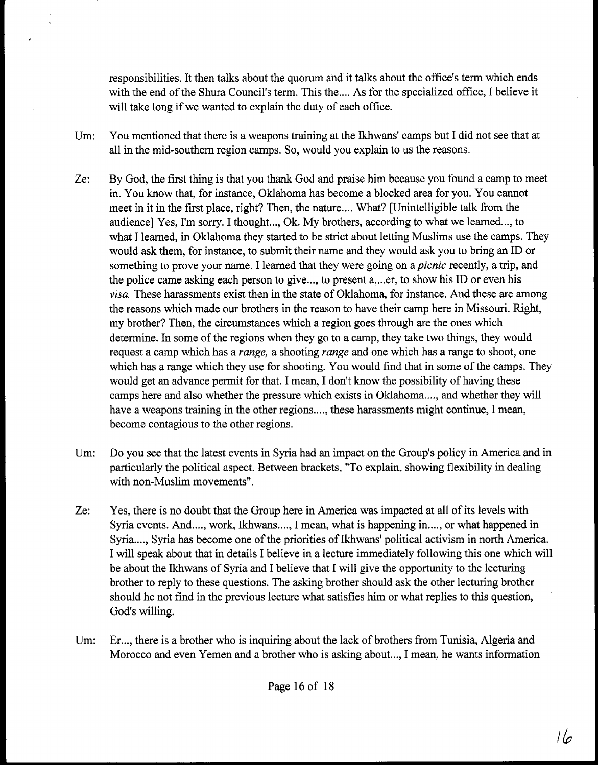responsibilities. It then talks about the quorum and it talks about the office's term which ends with the end of the Shura Council's term. This the .... As for the specialized office, I believe it will take long if we wanted to explain the duty of each office.

- Um: You mentioned that there is a weapons training at the Ikhwans' camps but I did not see that at all in the mid-southern region camps. So, would you explain to us the reasons.
- Ze: By God, the first thing is that you thank God and praise him because you found a camp to meet in. You know that, for instance, Oklahoma has become a blocked area for you. You cannot meet in it in the first place, right? Then, the nature.... What? [Unintelligible talk from the audience] Yes, I'm sorry. I thought..., Ok. My brothers, according to what we learned..., to what I learned, in Oklahoma they started to be strict about letting Muslims use the camps. They would ask them, for instance, to submit their name and they would ask you to bring **an** ID or something to prove your name. I learned that they were going on a *picnic* recently, a trip, and the police came asking each person to give..., to present a...,er, to show his ID or even his *visa.* These harassments exist then in the state of Oklahoma, for instance. And these are among the reasons which made our brothers in the reason to have their camp here in Missouri. Right, my brother? Then, the circumstances which a region goes through are the ones which determine. In some of the regions when they go to a camp, they take two things, they would request a camp which has a *range,* a shooting *range* and one which has a range to shoot, one which has a range which they use for shooting. You would find that in some of the camps. They would get **an** advance permit for that. I mean, I don't know the possibility of having these camps here and also whether the pressure which exists in Oklahoma...., and whether they will have a weapons training in the other regions...., these harassments might continue, I mean, become contagious to the other regions.
- Um: Do you see that the latest events in Syria had an impact on the Group's policy in America and in particularly the political aspect. Between brackets, "To explain, showing flexibility in dealing with non-Muslim movements".
- Ze: Yes, there is no doubt that the Group here in America was impacted at all of its levels with Syria events. And ..., work, Ikhwans ..., I mean, what is happening in ..., or what happened in Syria...., Syria has become one of the priorities of Ikhwans' political activism in north America. I will speak about that in details I believe in a lecture immediately following this one which will be about the Ikhwans of Syria and I believe that I will give the opportunity to the lecturing brother to reply to these questions. The asking brother should ask the other lecturing brother should he not find in the previous lecture what satisfies him or what replies to this question, God's willing.
- Um: Er..., there is a brother who is inquiring about the lack of brothers from Tunisia, Algeria and Morocco and even Yemen and a brother who is asking about..., I mean, he wants information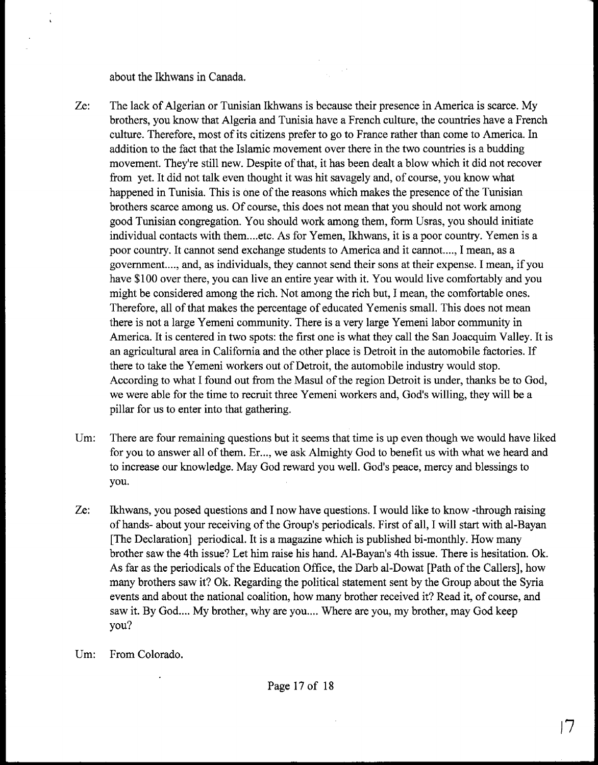about the Ikhwans in Canada.

- Ze: The lack of Algerian or Tunisian Lkhwans is because their presence in America is scarce. My brothers, you know that Algeria and Tunisia have a French culture, the countries have a French culture. Therefore, most of its citizens prefer to go to France rather than come to America. In addition to the fact that the Islamic movement over there in the two countries is a budding movement. They're still new. Despite of that, it has been dealt a blow which it did not recover from yet. It did not talk even thought it was hit savagely and, of course, you know what happened in Tunisia. This is one of the reasons which makes the presence of the Tunisian brothers scarce among us. Of course, this does not mean that you should not work among good Tunisian congregation. You should work among them, form Usras, you should initiate individual contacts with them .... etc. As for Yemen, Ikhwans, it is a poor country. Yemen is a poor country. It cannot send exchange students to America and it cannot...., I mean, as a government...., and, as individuals, they cannot send their sons at their expense. I mean, if you have \$100 over there, you can live an entire year with it. You would live comfortably and you might be considered among the rich. Not among the rich but, I mean, the comfortable ones. Therefore, all of that makes the percentage of educated Yemenis small. This does not mean there is not a large Yemeni community. There is a very large Yemeni labor community in America. It is centered in two spots: the first one is what they call the San Joacquim Valley. It is an agricultural area in California and the other place is Detroit in the automobile factories. If there to take the Yemeni workers out of Detroit, the automobile industry would stop. According to what I found out from the Masul of the region Detroit is under, thanks be to God, we were able for the time to recruit three Yemeni workers and, God's willing, they will be a pillar for us to enter into that gathering.
- Um: There are four remaining questions but it seems that time is up even though we would have liked for you to answer all of them. Er..., we ask Almighty God to benefit us with what we heard and to increase our knowledge. May God reward you well. God's peace, mercy and blessings to you.
- Ze: Ikhwans, you posed questions and I now have questions. I would like to know -through raising of hands- about your receiving of the Group's periodicals. First of all, I will start with al-Bayan [The Declaration] periodical. It is a magazine which is published bi-monthly. How many brother saw the 4th issue? Let him raise his hand. Al-Bayan's 4th issue. There is hesitation. Ok. As far as the periodicals of the Education Office, the Darb al-Dowat [Path of the Callers], how many brothers saw it? Ok. Regarding the political statement sent by the Group about the Syria events and about the national coalition, how many brother received it? Read it, of course, and saw it. By God.... My brother, why are you.... Where are you, my brother, may God keep you?
- Um: From Colorado.